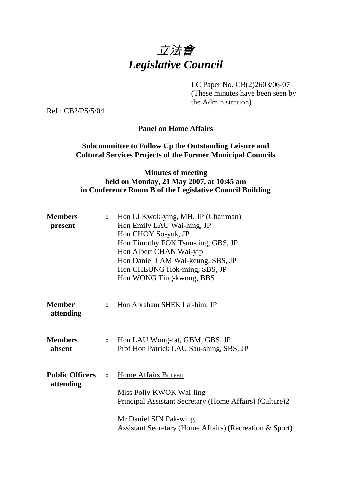

LC Paper No. CB(2)2603/06-07

(These minutes have been seen by the Administration)

Ref : CB2/PS/5/04

#### **Panel on Home Affairs**

### **Subcommittee to Follow Up the Outstanding Leisure and Cultural Services Projects of the Former Municipal Councils**

### **Minutes of meeting held on Monday, 21 May 2007, at 10:45 am in Conference Room B of the Legislative Council Building**

| <b>Members</b><br>present           | $\ddot{\cdot}$ | Hon LI Kwok-ying, MH, JP (Chairman)<br>Hon Emily LAU Wai-hing, JP<br>Hon CHOY So-yuk, JP<br>Hon Timothy FOK Tsun-ting, GBS, JP<br>Hon Albert CHAN Wai-yip<br>Hon Daniel LAM Wai-keung, SBS, JP<br>Hon CHEUNG Hok-ming, SBS, JP<br>Hon WONG Ting-kwong, BBS |
|-------------------------------------|----------------|------------------------------------------------------------------------------------------------------------------------------------------------------------------------------------------------------------------------------------------------------------|
| <b>Member</b><br>attending          | $\ddot{\cdot}$ | Hon Abraham SHEK Lai-him, JP                                                                                                                                                                                                                               |
| <b>Members</b><br>absent            | $\ddot{\cdot}$ | Hon LAU Wong-fat, GBM, GBS, JP<br>Prof Hon Patrick LAU Sau-shing, SBS, JP                                                                                                                                                                                  |
| <b>Public Officers</b><br>attending | $\ddot{\cdot}$ | <b>Home Affairs Bureau</b><br>Miss Polly KWOK Wai-ling<br>Principal Assistant Secretary (Home Affairs) (Culture)2<br>Mr Daniel SIN Pak-wing<br>Assistant Secretary (Home Affairs) (Recreation & Sport)                                                     |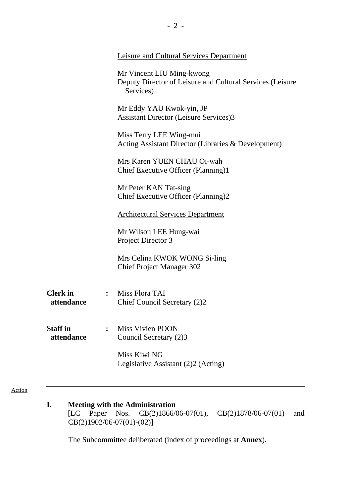|                               | <b>Leisure and Cultural Services Department</b>                                                     |  |
|-------------------------------|-----------------------------------------------------------------------------------------------------|--|
|                               | Mr Vincent LIU Ming-kwong<br>Deputy Director of Leisure and Cultural Services (Leisure<br>Services) |  |
|                               | Mr Eddy YAU Kwok-yin, JP<br><b>Assistant Director (Leisure Services)3</b>                           |  |
|                               | Miss Terry LEE Wing-mui<br>Acting Assistant Director (Libraries & Development)                      |  |
|                               | Mrs Karen YUEN CHAU Oi-wah<br>Chief Executive Officer (Planning)1                                   |  |
|                               | Mr Peter KAN Tat-sing<br>Chief Executive Officer (Planning)2                                        |  |
|                               | <b>Architectural Services Department</b>                                                            |  |
|                               | Mr Wilson LEE Hung-wai<br>Project Director 3                                                        |  |
|                               | Mrs Celina KWOK WONG Si-ling<br><b>Chief Project Manager 302</b>                                    |  |
| <b>Clerk</b> in<br>attendance | : Miss Flora TAI<br>Chief Council Secretary (2)2                                                    |  |
| <b>Staff</b> in<br>attendance | <b>Miss Vivien POON</b><br>Council Secretary (2)3                                                   |  |
|                               | Miss Kiwi NG<br>Legislative Assistant (2)2 (Acting)                                                 |  |

#### Action

**I. Meeting with the Administration** [LC Paper Nos. CB(2)1866/  $CB(2)1866/06-07(01)$ ,  $CB(2)1878/06-07(01)$  and  $CB(2)1902/06-07(01)-(02)$ ]

1. The Subcommittee deliberated (index of proceedings at **Annex**).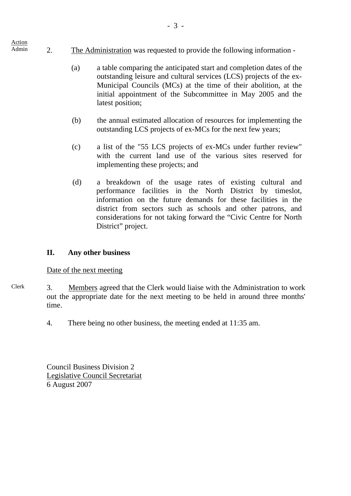- Admin 2. The Administration was requested to provide the following information -
	- (a) a table comparing the anticipated start and completion dates of the outstanding leisure and cultural services (LCS) projects of the ex-Municipal Councils (MCs) at the time of their abolition, at the initial appointment of the Subcommittee in May 2005 and the latest position;
	- (b) the annual estimated allocation of resources for implementing the outstanding LCS projects of ex-MCs for the next few years;
	- (c) a list of the "55 LCS projects of ex-MCs under further review" with the current land use of the various sites reserved for implementing these projects; and
	- (d) a breakdown of the usage rates of existing cultural and performance facilities in the North District by timeslot, information on the future demands for these facilities in the district from sectors such as schools and other patrons, and considerations for not taking forward the "Civic Centre for North District" project.

## **II. Any other business**

## Date of the next meeting

Action

- Clerk 3. Members agreed that the Clerk would liaise with the Administration to work out the appropriate date for the next meeting to be held in around three months' time.
	- 4. There being no other business, the meeting ended at 11:35 am.

Council Business Division 2 Legislative Council Secretariat 6 August 2007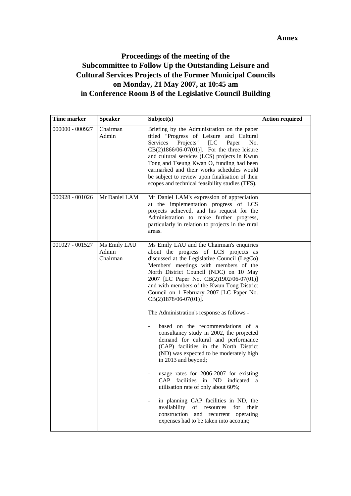#### **Annex**

# **Proceedings of the meeting of the Subcommittee to Follow Up the Outstanding Leisure and Cultural Services Projects of the Former Municipal Councils on Monday, 21 May 2007, at 10:45 am in Conference Room B of the Legislative Council Building**

| Time marker       | <b>Speaker</b>                    | Subject(s)                                                                                                                                                                                                                                                                                                                                                                                                                                                                                                                                                                                                                                                                                                                                                                                                                                                                                                                                                            | <b>Action required</b> |
|-------------------|-----------------------------------|-----------------------------------------------------------------------------------------------------------------------------------------------------------------------------------------------------------------------------------------------------------------------------------------------------------------------------------------------------------------------------------------------------------------------------------------------------------------------------------------------------------------------------------------------------------------------------------------------------------------------------------------------------------------------------------------------------------------------------------------------------------------------------------------------------------------------------------------------------------------------------------------------------------------------------------------------------------------------|------------------------|
| $000000 - 000927$ | Chairman<br>Admin                 | Briefing by the Administration on the paper<br>titled "Progress of Leisure and Cultural<br>Projects"<br>Services<br>[LC]<br>Paper<br>No.<br>$CB(2)1866/06-07(01)$ ]. For the three leisure<br>and cultural services (LCS) projects in Kwun<br>Tong and Tseung Kwan O, funding had been<br>earmarked and their works schedules would<br>be subject to review upon finalisation of their<br>scopes and technical feasibility studies (TFS).                                                                                                                                                                                                                                                                                                                                                                                                                                                                                                                             |                        |
| 000928 - 001026   | Mr Daniel LAM                     | Mr Daniel LAM's expression of appreciation<br>at the implementation progress of LCS<br>projects achieved, and his request for the<br>Administration to make further progress,<br>particularly in relation to projects in the rural<br>areas.                                                                                                                                                                                                                                                                                                                                                                                                                                                                                                                                                                                                                                                                                                                          |                        |
| 001027 - 001527   | Ms Emily LAU<br>Admin<br>Chairman | Ms Emily LAU and the Chairman's enquiries<br>about the progress of LCS projects as<br>discussed at the Legislative Council (LegCo)<br>Members' meetings with members of the<br>North District Council (NDC) on 10 May<br>2007 [LC Paper No. CB(2)1902/06-07(01)]<br>and with members of the Kwun Tong District<br>Council on 1 February 2007 [LC Paper No.<br>CB(2)1878/06-07(01)].<br>The Administration's response as follows -<br>based on the recommendations of a<br>consultancy study in 2002, the projected<br>demand for cultural and performance<br>(CAP) facilities in the North District<br>(ND) was expected to be moderately high<br>in 2013 and beyond;<br>usage rates for 2006-2007 for existing<br>CAP facilities in ND indicated a<br>utilisation rate of only about 60%;<br>in planning CAP facilities in ND, the<br>availability<br>of resources<br>for<br>their<br>construction and recurrent operating<br>expenses had to be taken into account; |                        |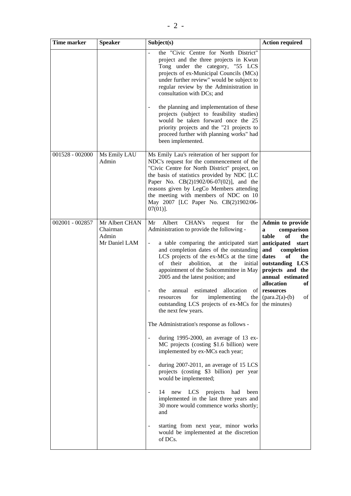| Time marker     | <b>Speaker</b>                                       | Subject(s)                                                                                                                                                                                                                                                                                                                                                                                                                                                                                                                                                                                                                                                                                                                                                                                                                                                                                                                                                                                                                                                                                                   | <b>Action required</b>                                                                                                                                                                                                                                      |
|-----------------|------------------------------------------------------|--------------------------------------------------------------------------------------------------------------------------------------------------------------------------------------------------------------------------------------------------------------------------------------------------------------------------------------------------------------------------------------------------------------------------------------------------------------------------------------------------------------------------------------------------------------------------------------------------------------------------------------------------------------------------------------------------------------------------------------------------------------------------------------------------------------------------------------------------------------------------------------------------------------------------------------------------------------------------------------------------------------------------------------------------------------------------------------------------------------|-------------------------------------------------------------------------------------------------------------------------------------------------------------------------------------------------------------------------------------------------------------|
|                 |                                                      | the "Civic Centre for North District"<br>project and the three projects in Kwun<br>Tong under the category, "55 LCS<br>projects of ex-Municipal Councils (MCs)<br>under further review" would be subject to<br>regular review by the Administration in<br>consultation with DCs; and                                                                                                                                                                                                                                                                                                                                                                                                                                                                                                                                                                                                                                                                                                                                                                                                                         |                                                                                                                                                                                                                                                             |
|                 |                                                      | the planning and implementation of these<br>projects (subject to feasibility studies)<br>would be taken forward once the 25<br>priority projects and the "21 projects to<br>proceed further with planning works" had<br>been implemented.                                                                                                                                                                                                                                                                                                                                                                                                                                                                                                                                                                                                                                                                                                                                                                                                                                                                    |                                                                                                                                                                                                                                                             |
| 001528 - 002000 | Ms Emily LAU<br>Admin                                | Ms Emily Lau's reiteration of her support for<br>NDC's request for the commencement of the<br>"Civic Centre for North District" project, on<br>the basis of statistics provided by NDC [LC<br>Paper No. CB(2)1902/06-07(02)], and the<br>reasons given by LegCo Members attending<br>the meeting with members of NDC on 10<br>May 2007 [LC Paper No. CB(2)1902/06-<br>$07(01)$ .                                                                                                                                                                                                                                                                                                                                                                                                                                                                                                                                                                                                                                                                                                                             |                                                                                                                                                                                                                                                             |
| 002001 - 002857 | Mr Albert CHAN<br>Chairman<br>Admin<br>Mr Daniel LAM | Albert<br>CHAN's<br>Mr<br>request<br>for<br>the<br>Administration to provide the following -<br>a table comparing the anticipated start<br>$\blacksquare$<br>and completion dates of the outstanding<br>LCS projects of the ex-MCs at the time<br>their<br>abolition,<br>of<br>at<br>the<br>initial<br>appointment of the Subcommittee in May<br>2005 and the latest position; and<br>of<br>estimated<br>allocation<br>the<br>annual<br>for<br>implementing<br>resources<br>outstanding LCS projects of ex-MCs for the minutes)<br>the next few years.<br>The Administration's response as follows -<br>during $1995-2000$ , an average of 13 ex-<br>$\overline{\phantom{a}}$<br>MC projects (costing \$1.6 billion) were<br>implemented by ex-MCs each year;<br>during 2007-2011, an average of 15 LCS<br>projects (costing \$3 billion) per year<br>would be implemented;<br>new LCS<br>projects had<br>14<br>been<br>implemented in the last three years and<br>30 more would commence works shortly;<br>and<br>starting from next year, minor works<br>would be implemented at the discretion<br>of DCs. | Admin to provide<br>comparison<br>a<br>table<br>of<br>the<br>anticipated<br>start<br>completion<br>and<br>dates<br>of<br>the<br>outstanding LCS<br>projects and the<br>annual estimated<br>allocation<br>of<br>resources<br>the $\int$ (para.2(a)-(b)<br>of |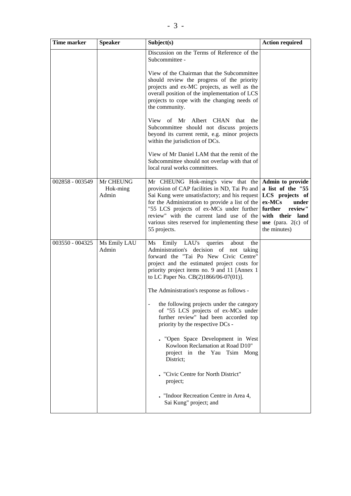| <b>Time marker</b> | <b>Speaker</b>                 | Subject(s)                                                                                                                                                                                                                                                                                                                                       | <b>Action required</b>                                                                                                                                              |
|--------------------|--------------------------------|--------------------------------------------------------------------------------------------------------------------------------------------------------------------------------------------------------------------------------------------------------------------------------------------------------------------------------------------------|---------------------------------------------------------------------------------------------------------------------------------------------------------------------|
|                    |                                | Discussion on the Terms of Reference of the<br>Subcommittee -<br>View of the Chairman that the Subcommittee<br>should review the progress of the priority                                                                                                                                                                                        |                                                                                                                                                                     |
|                    |                                | projects and ex-MC projects, as well as the<br>overall position of the implementation of LCS<br>projects to cope with the changing needs of<br>the community.                                                                                                                                                                                    |                                                                                                                                                                     |
|                    |                                | View of Mr Albert CHAN that the<br>Subcommittee should not discuss projects<br>beyond its current remit, e.g. minor projects<br>within the jurisdiction of DCs.                                                                                                                                                                                  |                                                                                                                                                                     |
|                    |                                | View of Mr Daniel LAM that the remit of the<br>Subcommittee should not overlap with that of<br>local rural works committees.                                                                                                                                                                                                                     |                                                                                                                                                                     |
| 002858 - 003549    | Mr CHEUNG<br>Hok-ming<br>Admin | Mr CHEUNG Hok-ming's view that the<br>provision of CAP facilities in ND, Tai Po and<br>Sai Kung were unsatisfactory; and his request<br>for the Administration to provide a list of the<br>"55 LCS projects of ex-MCs under further<br>review" with the current land use of the<br>various sites reserved for implementing these<br>55 projects. | Admin to provide<br>a list of the "55<br>LCS projects of<br>ex-MCs<br>under<br>further<br>review"<br>with their land<br><b>use</b> (para. $2(c)$ of<br>the minutes) |
| 003550 - 004325    | Ms Emily LAU<br>Admin          | LAU's<br>Emily<br>queries<br>about<br>Ms<br>the<br>Administration's decision of not taking<br>forward the "Tai Po New Civic Centre"<br>project and the estimated project costs for<br>priority project items no. 9 and 11 [Annex 1]<br>to LC Paper No. CB(2)1866/06-07(01)].                                                                     |                                                                                                                                                                     |
|                    |                                | The Administration's response as follows -<br>the following projects under the category<br>of "55 LCS projects of ex-MCs under<br>further review" had been accorded top<br>priority by the respective DCs -                                                                                                                                      |                                                                                                                                                                     |
|                    |                                | . "Open Space Development in West<br>Kowloon Reclamation at Road D10"<br>project in the Yau Tsim Mong<br>District;                                                                                                                                                                                                                               |                                                                                                                                                                     |
|                    |                                | "Civic Centre for North District"<br>project;                                                                                                                                                                                                                                                                                                    |                                                                                                                                                                     |
|                    |                                | . "Indoor Recreation Centre in Area 4,<br>Sai Kung" project; and                                                                                                                                                                                                                                                                                 |                                                                                                                                                                     |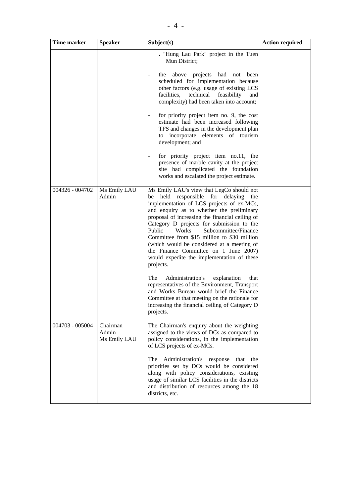| <b>Time marker</b> | <b>Speaker</b>                    | Subject(s)                                                                                                                                                                                                                                                                                                                                                                                                                                                                                                                                                                                                                                                                                                                                                                                    | <b>Action required</b> |
|--------------------|-----------------------------------|-----------------------------------------------------------------------------------------------------------------------------------------------------------------------------------------------------------------------------------------------------------------------------------------------------------------------------------------------------------------------------------------------------------------------------------------------------------------------------------------------------------------------------------------------------------------------------------------------------------------------------------------------------------------------------------------------------------------------------------------------------------------------------------------------|------------------------|
|                    |                                   | . "Hung Lau Park" project in the Tuen<br>Mun District;<br>the above projects had not been<br>scheduled for implementation because<br>other factors (e.g. usage of existing LCS<br>facilities,<br>technical<br>feasibility<br>and<br>complexity) had been taken into account;<br>for priority project item no. 9, the cost<br>$\overline{\phantom{a}}$<br>estimate had been increased following<br>TFS and changes in the development plan<br>incorporate elements of tourism<br>to<br>development; and<br>for priority project item no.11, the<br>presence of marble cavity at the project<br>site had complicated the foundation<br>works and escalated the project estimate.                                                                                                                |                        |
| 004326 - 004702    | Ms Emily LAU<br>Admin             | Ms Emily LAU's view that LegCo should not<br>held responsible for delaying<br>be<br>the<br>implementation of LCS projects of ex-MCs,<br>and enquiry as to whether the preliminary<br>proposal of increasing the financial ceiling of<br>Category D projects for submission to the<br>Public<br>Works<br>Subcommittee/Finance<br>Committee from \$15 million to \$30 million<br>(which would be considered at a meeting of<br>the Finance Committee on 1 June 2007)<br>would expedite the implementation of these<br>projects.<br>Administration's<br>The<br>explanation<br>that<br>representatives of the Environment, Transport<br>and Works Bureau would brief the Finance<br>Committee at that meeting on the rationale for<br>increasing the financial ceiling of Category D<br>projects. |                        |
| 004703 - 005004    | Chairman<br>Admin<br>Ms Emily LAU | The Chairman's enquiry about the weighting<br>assigned to the views of DCs as compared to<br>policy considerations, in the implementation<br>of LCS projects of ex-MCs.<br>Administration's response<br>The<br>that<br>the<br>priorities set by DCs would be considered<br>along with policy considerations, existing<br>usage of similar LCS facilities in the districts<br>and distribution of resources among the 18<br>districts, etc.                                                                                                                                                                                                                                                                                                                                                    |                        |